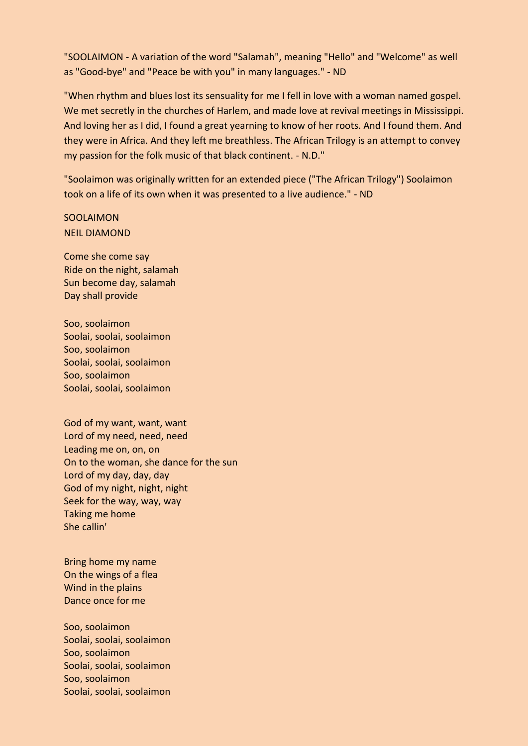"SOOLAIMON - A variation of the word "Salamah", meaning "Hello" and "Welcome" as well as "Good-bye" and "Peace be with you" in many languages." - ND

"When rhythm and blues lost its sensuality for me I fell in love with a woman named gospel. We met secretly in the churches of Harlem, and made love at revival meetings in Mississippi. And loving her as I did, I found a great yearning to know of her roots. And I found them. And they were in Africa. And they left me breathless. The African Trilogy is an attempt to convey my passion for the folk music of that black continent. - N.D."

"Soolaimon was originally written for an extended piece ("The African Trilogy") Soolaimon took on a life of its own when it was presented to a live audience." - ND

SOOLAIMON NEIL DIAMOND

Come she come say Ride on the night, salamah Sun become day, salamah Day shall provide

Soo, soolaimon Soolai, soolai, soolaimon Soo, soolaimon Soolai, soolai, soolaimon Soo, soolaimon Soolai, soolai, soolaimon

God of my want, want, want Lord of my need, need, need Leading me on, on, on On to the woman, she dance for the sun Lord of my day, day, day God of my night, night, night Seek for the way, way, way Taking me home She callin'

Bring home my name On the wings of a flea Wind in the plains Dance once for me

Soo, soolaimon Soolai, soolai, soolaimon Soo, soolaimon Soolai, soolai, soolaimon Soo, soolaimon Soolai, soolai, soolaimon